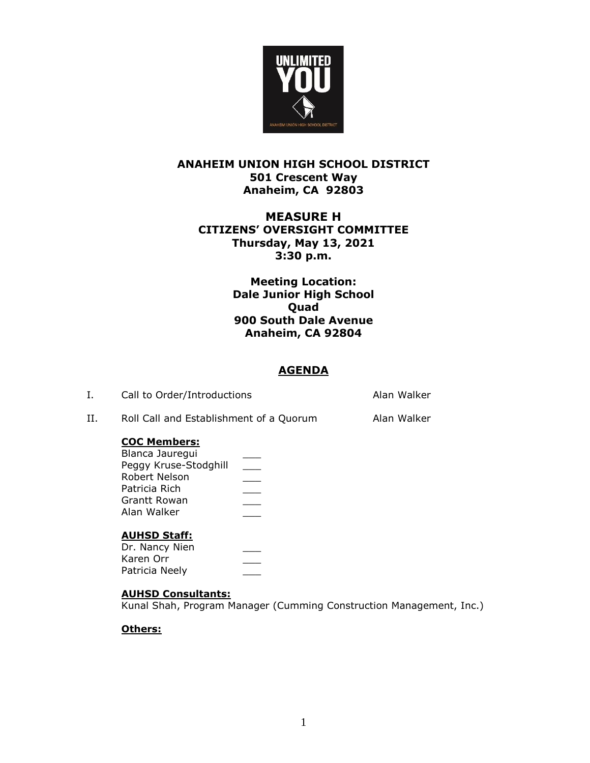

# **ANAHEIM UNION HIGH SCHOOL DISTRICT 501 Crescent Way Anaheim, CA 92803**

# **MEASURE H CITIZENS' OVERSIGHT COMMITTEE Thursday, May 13, 2021 3:30 p.m.**

**Meeting Location: Dale Junior High School Quad 900 South Dale Avenue Anaheim, CA 92804**

## **AGENDA**

| Call to Order/Introductions             | Alan Walker |
|-----------------------------------------|-------------|
| Roll Call and Establishment of a Quorum | Alan Walker |

## **COC Members:**

| Blanca Jaurequi       |  |
|-----------------------|--|
| Peggy Kruse-Stodghill |  |
| Robert Nelson         |  |
| Patricia Rich         |  |
| Grantt Rowan          |  |
| Alan Walker           |  |
|                       |  |

## **AUHSD Staff:**

Dr. Nancy Nien Karen Orr \_\_\_ Patricia Neely

## **AUHSD Consultants:**

Kunal Shah, Program Manager (Cumming Construction Management, Inc.)

## **Others:**